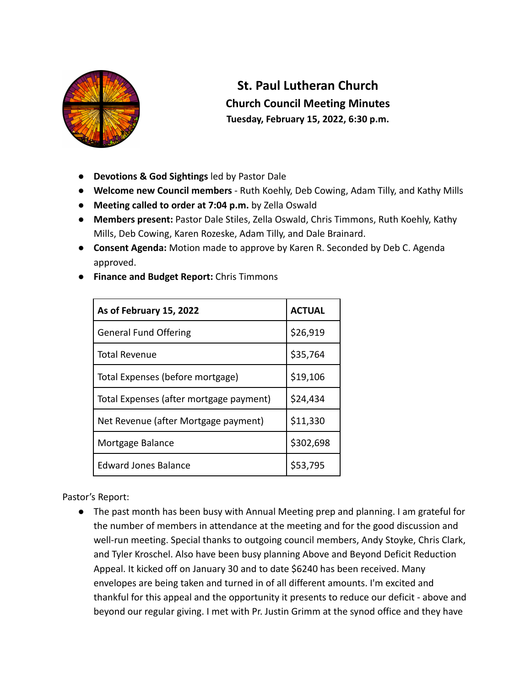

## **St. Paul Lutheran Church Church Council Meeting Minutes Tuesday, February 15, 2022, 6:30 p.m.**

- **Devotions & God Sightings** led by Pastor Dale
- **● Welcome new Council members** Ruth Koehly, Deb Cowing, Adam Tilly, and Kathy Mills
- **Meeting called to order at 7:04 p.m.** by Zella Oswald
- **Members present:** Pastor Dale Stiles, Zella Oswald, Chris Timmons, Ruth Koehly, Kathy Mills, Deb Cowing, Karen Rozeske, Adam Tilly, and Dale Brainard.
- **Consent Agenda:** Motion made to approve by Karen R. Seconded by Deb C. Agenda approved.

|  | <b>Finance and Budget Report: Chris Timmons</b> |  |  |  |  |
|--|-------------------------------------------------|--|--|--|--|
|--|-------------------------------------------------|--|--|--|--|

| As of February 15, 2022                 | <b>ACTUAL</b> |
|-----------------------------------------|---------------|
| <b>General Fund Offering</b>            | \$26,919      |
| <b>Total Revenue</b>                    | \$35,764      |
| Total Expenses (before mortgage)        | \$19,106      |
| Total Expenses (after mortgage payment) | \$24,434      |
| Net Revenue (after Mortgage payment)    | \$11,330      |
| Mortgage Balance                        | \$302,698     |
| <b>Edward Jones Balance</b>             | \$53,795      |

Pastor's Report:

● The past month has been busy with Annual Meeting prep and planning. I am grateful for the number of members in attendance at the meeting and for the good discussion and well-run meeting. Special thanks to outgoing council members, Andy Stoyke, Chris Clark, and Tyler Kroschel. Also have been busy planning Above and Beyond Deficit Reduction Appeal. It kicked off on January 30 and to date \$6240 has been received. Many envelopes are being taken and turned in of all different amounts. I'm excited and thankful for this appeal and the opportunity it presents to reduce our deficit - above and beyond our regular giving. I met with Pr. Justin Grimm at the synod office and they have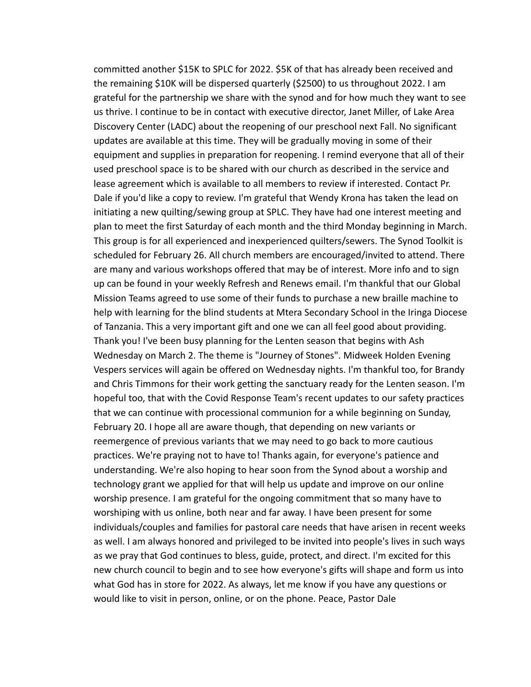committed another \$15K to SPLC for 2022. \$5K of that has already been received and the remaining \$10K will be dispersed quarterly (\$2500) to us throughout 2022. I am grateful for the partnership we share with the synod and for how much they want to see us thrive. I continue to be in contact with executive director, Janet Miller, of Lake Area Discovery Center (LADC) about the reopening of our preschool next Fall. No significant updates are available at this time. They will be gradually moving in some of their equipment and supplies in preparation for reopening. I remind everyone that all of their used preschool space is to be shared with our church as described in the service and lease agreement which is available to all members to review if interested. Contact Pr. Dale if you'd like a copy to review. I'm grateful that Wendy Krona has taken the lead on initiating a new quilting/sewing group at SPLC. They have had one interest meeting and plan to meet the first Saturday of each month and the third Monday beginning in March. This group is for all experienced and inexperienced quilters/sewers. The Synod Toolkit is scheduled for February 26. All church members are encouraged/invited to attend. There are many and various workshops offered that may be of interest. More info and to sign up can be found in your weekly Refresh and Renews email. I'm thankful that our Global Mission Teams agreed to use some of their funds to purchase a new braille machine to help with learning for the blind students at Mtera Secondary School in the Iringa Diocese of Tanzania. This a very important gift and one we can all feel good about providing. Thank you! I've been busy planning for the Lenten season that begins with Ash Wednesday on March 2. The theme is "Journey of Stones". Midweek Holden Evening Vespers services will again be offered on Wednesday nights. I'm thankful too, for Brandy and Chris Timmons for their work getting the sanctuary ready for the Lenten season. I'm hopeful too, that with the Covid Response Team's recent updates to our safety practices that we can continue with processional communion for a while beginning on Sunday, February 20. I hope all are aware though, that depending on new variants or reemergence of previous variants that we may need to go back to more cautious practices. We're praying not to have to! Thanks again, for everyone's patience and understanding. We're also hoping to hear soon from the Synod about a worship and technology grant we applied for that will help us update and improve on our online worship presence. I am grateful for the ongoing commitment that so many have to worshiping with us online, both near and far away. I have been present for some individuals/couples and families for pastoral care needs that have arisen in recent weeks as well. I am always honored and privileged to be invited into people's lives in such ways as we pray that God continues to bless, guide, protect, and direct. I'm excited for this new church council to begin and to see how everyone's gifts will shape and form us into what God has in store for 2022. As always, let me know if you have any questions or would like to visit in person, online, or on the phone. Peace, Pastor Dale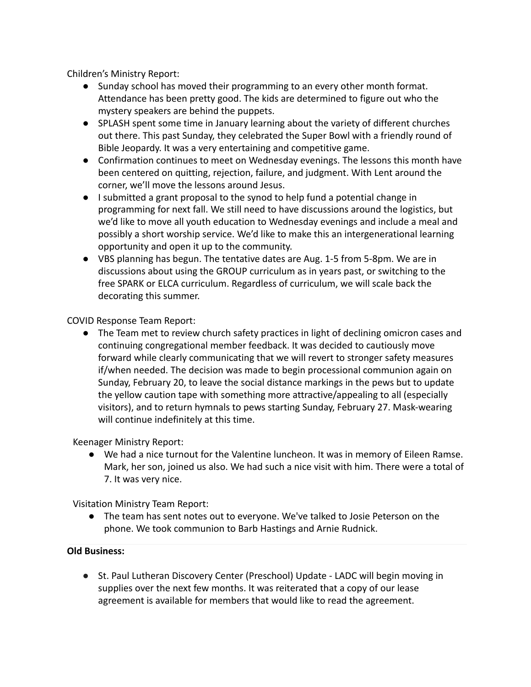Children's Ministry Report:

- Sunday school has moved their programming to an every other month format. Attendance has been pretty good. The kids are determined to figure out who the mystery speakers are behind the puppets.
- SPLASH spent some time in January learning about the variety of different churches out there. This past Sunday, they celebrated the Super Bowl with a friendly round of Bible Jeopardy. It was a very entertaining and competitive game.
- Confirmation continues to meet on Wednesday evenings. The lessons this month have been centered on quitting, rejection, failure, and judgment. With Lent around the corner, we'll move the lessons around Jesus.
- I submitted a grant proposal to the synod to help fund a potential change in programming for next fall. We still need to have discussions around the logistics, but we'd like to move all youth education to Wednesday evenings and include a meal and possibly a short worship service. We'd like to make this an intergenerational learning opportunity and open it up to the community.
- VBS planning has begun. The tentative dates are Aug. 1-5 from 5-8pm. We are in discussions about using the GROUP curriculum as in years past, or switching to the free SPARK or ELCA curriculum. Regardless of curriculum, we will scale back the decorating this summer.

COVID Response Team Report:

• The Team met to review church safety practices in light of declining omicron cases and continuing congregational member feedback. It was decided to cautiously move forward while clearly communicating that we will revert to stronger safety measures if/when needed. The decision was made to begin processional communion again on Sunday, February 20, to leave the social distance markings in the pews but to update the yellow caution tape with something more attractive/appealing to all (especially visitors), and to return hymnals to pews starting Sunday, February 27. Mask-wearing will continue indefinitely at this time.

Keenager Ministry Report:

● We had a nice turnout for the Valentine luncheon. It was in memory of Eileen Ramse. Mark, her son, joined us also. We had such a nice visit with him. There were a total of 7. It was very nice.

Visitation Ministry Team Report:

● The team has sent notes out to everyone. We've talked to Josie Peterson on the phone. We took communion to Barb Hastings and Arnie Rudnick.

## **Old Business:**

● St. Paul Lutheran Discovery Center (Preschool) Update - LADC will begin moving in supplies over the next few months. It was reiterated that a copy of our lease agreement is available for members that would like to read the agreement.